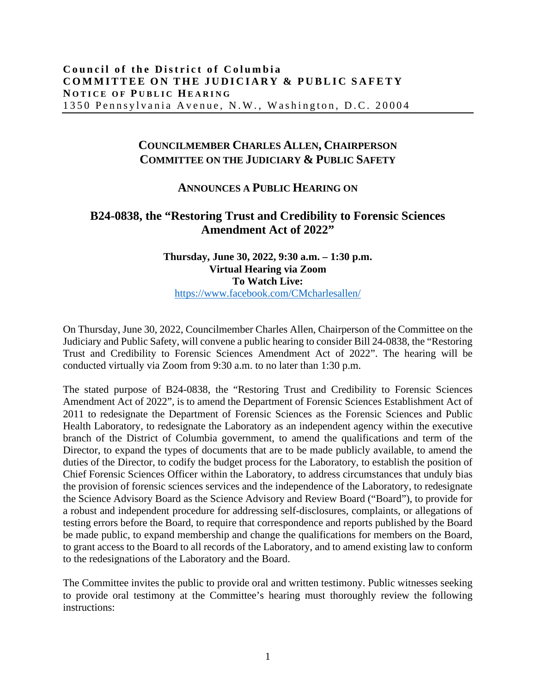## **COUNCILMEMBER CHARLES ALLEN, CHAIRPERSON COMMITTEE ON THE JUDICIARY & PUBLIC SAFETY**

## **ANNOUNCES A PUBLIC HEARING ON**

## **B24-0838, the "Restoring Trust and Credibility to Forensic Sciences Amendment Act of 2022"**

## **Thursday, June 30, 2022, 9:30 a.m. – 1:30 p.m. Virtual Hearing via Zoom To Watch Live:** <https://www.facebook.com/CMcharlesallen/>

On Thursday, June 30, 2022, Councilmember Charles Allen, Chairperson of the Committee on the Judiciary and Public Safety, will convene a public hearing to consider Bill 24-0838, the "Restoring Trust and Credibility to Forensic Sciences Amendment Act of 2022". The hearing will be conducted virtually via Zoom from 9:30 a.m. to no later than 1:30 p.m.

The stated purpose of B24-0838, the "Restoring Trust and Credibility to Forensic Sciences Amendment Act of 2022", is to amend the Department of Forensic Sciences Establishment Act of 2011 to redesignate the Department of Forensic Sciences as the Forensic Sciences and Public Health Laboratory, to redesignate the Laboratory as an independent agency within the executive branch of the District of Columbia government, to amend the qualifications and term of the Director, to expand the types of documents that are to be made publicly available, to amend the duties of the Director, to codify the budget process for the Laboratory, to establish the position of Chief Forensic Sciences Officer within the Laboratory, to address circumstances that unduly bias the provision of forensic sciences services and the independence of the Laboratory, to redesignate the Science Advisory Board as the Science Advisory and Review Board ("Board"), to provide for a robust and independent procedure for addressing self-disclosures, complaints, or allegations of testing errors before the Board, to require that correspondence and reports published by the Board be made public, to expand membership and change the qualifications for members on the Board, to grant access to the Board to all records of the Laboratory, and to amend existing law to conform to the redesignations of the Laboratory and the Board.

The Committee invites the public to provide oral and written testimony. Public witnesses seeking to provide oral testimony at the Committee's hearing must thoroughly review the following instructions: